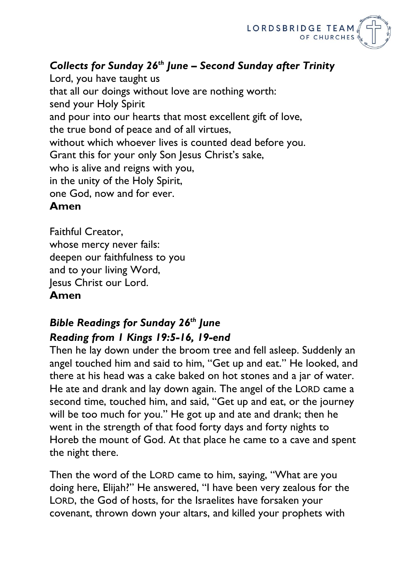

## *Collects for Sunday 26th June – Second Sunday after Trinity*

Lord, you have taught us that all our doings without love are nothing worth: send your Holy Spirit and pour into our hearts that most excellent gift of love, the true bond of peace and of all virtues, without which whoever lives is counted dead before you. Grant this for your only Son Jesus Christ's sake, who is alive and reigns with you, in the unity of the Holy Spirit, one God, now and for ever. **Amen**

Faithful Creator, whose mercy never fails: deepen our faithfulness to you and to your living Word, Jesus Christ our Lord. **Amen**

## *Bible Readings for Sunday 26th June Reading from 1 Kings 19:5-16, 19-end*

Then he lay down under the broom tree and fell asleep. Suddenly an angel touched him and said to him, "Get up and eat." He looked, and there at his head was a cake baked on hot stones and a jar of water. He ate and drank and lay down again. The angel of the LORD came a second time, touched him, and said, "Get up and eat, or the journey will be too much for you." He got up and ate and drank; then he went in the strength of that food forty days and forty nights to Horeb the mount of God. At that place he came to a cave and spent the night there.

Then the word of the LORD came to him, saying, "What are you doing here, Elijah?" He answered, "I have been very zealous for the LORD, the God of hosts, for the Israelites have forsaken your covenant, thrown down your altars, and killed your prophets with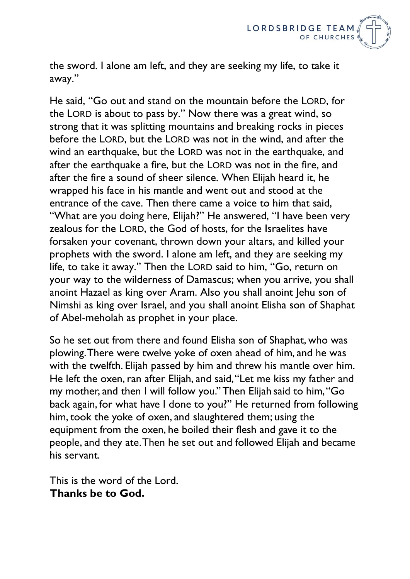

the sword. I alone am left, and they are seeking my life, to take it away."

He said, "Go out and stand on the mountain before the LORD, for the LORD is about to pass by." Now there was a great wind, so strong that it was splitting mountains and breaking rocks in pieces before the LORD, but the LORD was not in the wind, and after the wind an earthquake, but the LORD was not in the earthquake, and after the earthquake a fire, but the LORD was not in the fire, and after the fire a sound of sheer silence. When Elijah heard it, he wrapped his face in his mantle and went out and stood at the entrance of the cave. Then there came a voice to him that said, "What are you doing here, Elijah?" He answered, "I have been very zealous for the LORD, the God of hosts, for the Israelites have forsaken your covenant, thrown down your altars, and killed your prophets with the sword. I alone am left, and they are seeking my life, to take it away." Then the LORD said to him, "Go, return on your way to the wilderness of Damascus; when you arrive, you shall anoint Hazael as king over Aram. Also you shall anoint Jehu son of Nimshi as king over Israel, and you shall anoint Elisha son of Shaphat of Abel-meholah as prophet in your place.

So he set out from there and found Elisha son of Shaphat, who was plowing. There were twelve yoke of oxen ahead of him, and he was with the twelfth. Elijah passed by him and threw his mantle over him. He left the oxen, ran after Elijah, and said, "Let me kiss my father and my mother, and then I will follow you." Then Elijah said to him, "Go back again, for what have I done to you?" He returned from following him, took the yoke of oxen, and slaughtered them; using the equipment from the oxen, he boiled their flesh and gave it to the people, and they ate. Then he set out and followed Elijah and became his servant.

This is the word of the Lord. **Thanks be to God.**